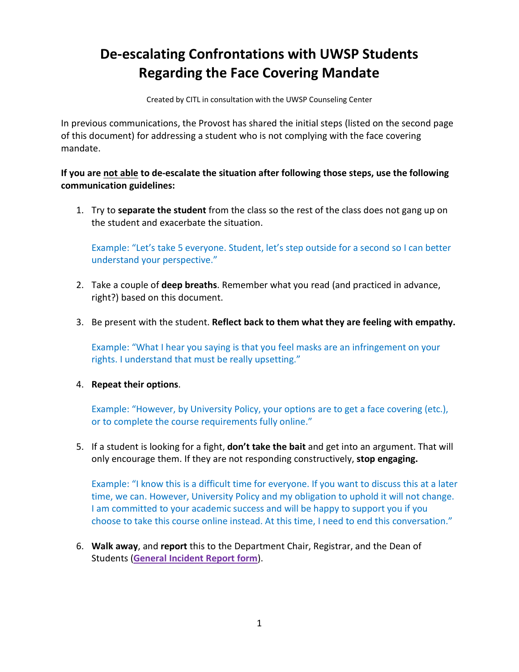## **De-escalating Confrontations with UWSP Students Regarding the Face Covering Mandate**

Created by CITL in consultation with the UWSP Counseling Center

In previous communications, the Provost has shared the initial steps (listed on the second page of this document) for addressing a student who is not complying with the face covering mandate.

## **If you are not able to de-escalate the situation after following those steps, use the following communication guidelines:**

1. Try to **separate the student** from the class so the rest of the class does not gang up on the student and exacerbate the situation.

Example: "Let's take 5 everyone. Student, let's step outside for a second so I can better understand your perspective."

- 2. Take a couple of **deep breaths**. Remember what you read (and practiced in advance, right?) based on this document.
- 3. Be present with the student. **Reflect back to them what they are feeling with empathy.**

Example: "What I hear you saying is that you feel masks are an infringement on your rights. I understand that must be really upsetting."

4. **Repeat their options**.

Example: "However, by University Policy, your options are to get a face covering (etc.), or to complete the course requirements fully online."

5. If a student is looking for a fight, **don't take the bait** and get into an argument. That will only encourage them. If they are not responding constructively, **stop engaging.**

Example: "I know this is a difficult time for everyone. If you want to discuss this at a later time, we can. However, University Policy and my obligation to uphold it will not change. I am committed to your academic success and will be happy to support you if you choose to take this course online instead. At this time, I need to end this conversation."

6. **Walk away**, and **report** this to the Department Chair, Registrar, and the Dean of Students (**[General Incident Report form](https://cm.maxient.com/reportingform.php?UnivofWisconsinStevensPoint&layout_id=0)**).